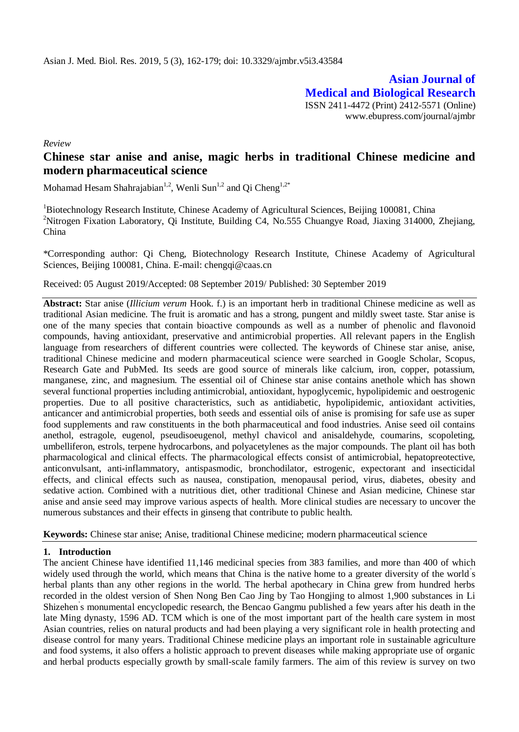**Asian Journal of Medical and Biological Research** ISSN 2411-4472 (Print) 2412-5571 (Online) www.ebupress.com/journal/ajmbr

*Review*

# **Chinese star anise and anise, magic herbs in traditional Chinese medicine and modern pharmaceutical science**

Mohamad Hesam Shahrajabian<sup>1,2</sup>, Wenli Sun<sup>1,2</sup> and Qi Cheng<sup>1,2\*</sup>

<sup>1</sup>Biotechnology Research Institute, Chinese Academy of Agricultural Sciences, Beijing 100081, China <sup>2</sup>Nitrogen Fixation Laboratory, Qi Institute, Building C4, No.555 Chuangye Road, Jiaxing 314000, Zhejiang, China

\*Corresponding author: Qi Cheng, Biotechnology Research Institute, Chinese Academy of Agricultural Sciences, Beijing 100081, China. E-mail: [chengqi@caas.cn](mailto:chengqi@caas.cn)

Received: 05 August 2019/Accepted: 08 September 2019/ Published: 30 September 2019

**Abstract:** Star anise (*Illicium verum* Hook. f.) is an important herb in traditional Chinese medicine as well as traditional Asian medicine. The fruit is aromatic and has a strong, pungent and mildly sweet taste. Star anise is one of the many species that contain bioactive compounds as well as a number of phenolic and flavonoid compounds, having antioxidant, preservative and antimicrobial properties. All relevant papers in the English language from researchers of different countries were collected. The keywords of Chinese star anise, anise, traditional Chinese medicine and modern pharmaceutical science were searched in Google Scholar, Scopus, Research Gate and PubMed. Its seeds are good source of minerals like calcium, iron, copper, potassium, manganese, zinc, and magnesium. The essential oil of Chinese star anise contains anethole which has shown several functional properties including antimicrobial, antioxidant, hypoglycemic, hypolipidemic and oestrogenic properties. Due to all positive characteristics, such as antidiabetic, hypolipidemic, antioxidant activities, anticancer and antimicrobial properties, both seeds and essential oils of anise is promising for safe use as super food supplements and raw constituents in the both pharmaceutical and food industries. Anise seed oil contains anethol, estragole, eugenol, pseudisoeugenol, methyl chavicol and anisaldehyde, coumarins, scopoleting, umbelliferon, estrols, terpene hydrocarbons, and polyacetylenes as the major compounds. The plant oil has both pharmacological and clinical effects. The pharmacological effects consist of antimicrobial, hepatopreotective, anticonvulsant, anti-inflammatory, antispasmodic, bronchodilator, estrogenic, expectorant and insecticidal effects, and clinical effects such as nausea, constipation, menopausal period, virus, diabetes, obesity and sedative action. Combined with a nutritious diet, other traditional Chinese and Asian medicine, Chinese star anise and ansie seed may improve various aspects of health. More clinical studies are necessary to uncover the numerous substances and their effects in ginseng that contribute to public health.

**Keywords:** Chinese star anise; Anise, traditional Chinese medicine; modern pharmaceutical science

# **1. Introduction**

The ancient Chinese have identified 11,146 medicinal species from 383 families, and more than 400 of which widely used through the world, which means that China is the native home to a greater diversity of the world's herbal plants than any other regions in the world. The herbal apothecary in China grew from hundred herbs recorded in the oldest version of Shen Nong Ben Cao Jing by Tao Hongjing to almost 1,900 substances in Li Shizehen' s monumental encyclopedic research, the Bencao Gangmu published a few years after his death in the late Ming dynasty, 1596 AD. TCM which is one of the most important part of the health care system in most Asian countries, relies on natural products and had been playing a very significant role in health protecting and disease control for many years. Traditional Chinese medicine plays an important role in sustainable agriculture and food systems, it also offers a holistic approach to prevent diseases while making appropriate use of organic and herbal products especially growth by small-scale family farmers. The aim of this review is survey on two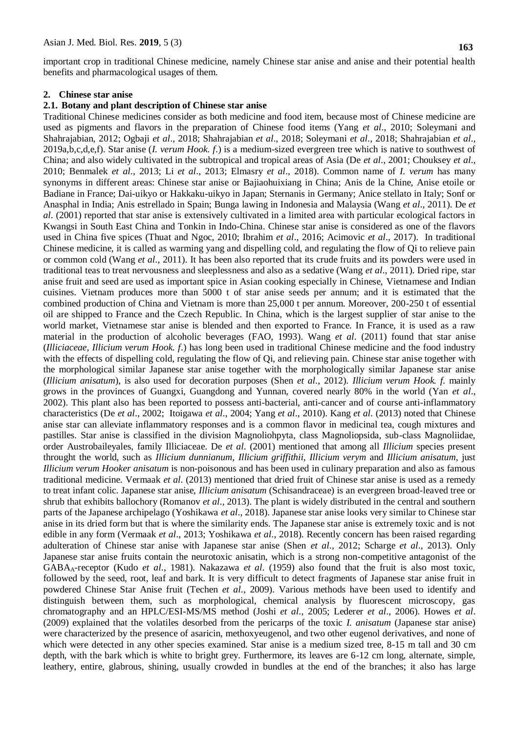important crop in traditional Chinese medicine, namely Chinese star anise and anise and their potential health benefits and pharmacological usages of them.

### **2. Chinese star anise**

#### **2.1. Botany and plant description of Chinese star anise**

Traditional Chinese medicines consider as both medicine and food item, because most of Chinese medicine are used as pigments and flavors in the preparation of Chinese food items (Yang *et al*., 2010; Soleymani and Shahrajabian, 2012; Ogbaji *et al*., 2018; Shahrajabian *et al*., 2018; Soleymani *et al*., 2018; Shahrajabian *et al*., 2019a,b,c,d,e,f). Star anise (*I. verum Hook. f*.) is a medium-sized evergreen tree which is native to southwest of China; and also widely cultivated in the subtropical and tropical areas of Asia (De *et al*., 2001; Chouksey *et al*., 2010; Benmalek *et al*., 2013; Li *et al*., 2013; Elmasry *et al*., 2018). Common name of *I. verum* has many synonyms in different areas: Chinese star anise or Bajiaohuixiang in China; Anis de la Chine, Anise etoile or Badiane in France; Dai-uikyo or Hakkaku-uikyo in Japan; Sternanis in Germany; Anice stellato in Italy; Sonf or Anasphal in India; Anis estrellado in Spain; Bunga lawing in Indonesia and Malaysia (Wang *et al*., 2011). De *et al*. (2001) reported that star anise is extensively cultivated in a limited area with particular ecological factors in Kwangsi in South East China and Tonkin in Indo-China. Chinese star anise is considered as one of the flavors used in China five spices (Thuat and Ngoc, 2010; Ibrahim *et al*., 2016; Acimovic *et al*., 2017). In traditional Chinese medicine, it is called as warming yang and dispelling cold, and regulating the flow of Qi to relieve pain or common cold (Wang *et al*., 2011). It has been also reported that its crude fruits and its powders were used in traditional teas to treat nervousness and sleeplessness and also as a sedative (Wang *et al*., 2011). Dried ripe, star anise fruit and seed are used as important spice in Asian cooking especially in Chinese, Vietnamese and Indian cuisines. Vietnam produces more than 5000 t of star anise seeds per annum; and it is estimated that the combined production of China and Vietnam is more than 25,000 t per annum. Moreover, 200-250 t of essential oil are shipped to France and the Czech Republic. In China, which is the largest supplier of star anise to the world market, Vietnamese star anise is blended and then exported to France. In France, it is used as a raw material in the production of alcoholic beverages (FAO, 1993). Wang *et al*. (2011) found that star anise (*Illiciaceae, Illicium verum Hook. f*.) has long been used in traditional Chinese medicine and the food industry with the effects of dispelling cold, regulating the flow of Qi, and relieving pain. Chinese star anise together with the morphological similar Japanese star anise together with the morphologically similar Japanese star anise (*Illicium anisatum*), is also used for decoration purposes (Shen *et al*., 2012). *Illicium verum Hook. f*. mainly grows in the provinces of Guangxi, Guangdong and Yunnan, covered nearly 80% in the world (Yan *et al*., 2002). This plant also has been reported to possess anti-bacterial, anti-cancer and of course anti-inflammatory characteristics (De *et al*., 2002; Itoigawa *et al*., 2004; Yang *et al*., 2010). Kang *et al*. (2013) noted that Chinese anise star can alleviate inflammatory responses and is a common flavor in medicinal tea, cough mixtures and pastilles. Star anise is classified in the division Magnoliohpyta, class Magnoliopsida, sub-class Magnoliidae, order Austrobaileyales, family Illiciaceae. De *et al*. (2001) mentioned that among all *Illicium* species present throught the world, such as *Illicium dunnianum*, *Illicium griffithii*, *Illicium verym* and *Illicium anisatum*, just *Illicium verum Hooker anisatum* is non-poisonous and has been used in culinary preparation and also as famous traditional medicine. Vermaak *et al*. (2013) mentioned that dried fruit of Chinese star anise is used as a remedy to treat infant colic. Japanese star anise, *Illicium anisatum* (Schisandraceae) is an evergreen broad-leaved tree or shrub that exhibits ballochory (Romanov *et al*., 2013). The plant is widely distributed in the central and southern parts of the Japanese archipelago (Yoshikawa *et al*., 2018). Japanese star anise looks very similar to Chinese star anise in its dried form but that is where the similarity ends. The Japanese star anise is extremely toxic and is not edible in any form (Vermaak *et al*., 2013; Yoshikawa *et al*., 2018). Recently concern has been raised regarding adulteration of Chinese star anise with Japanese star anise (Shen *et al*., 2012; Scharge *et al*., 2013). Only Japanese star anise fruits contain the neurotoxic anisatin, which is a strong non-competitive antagonist of the GABAA-receptor (Kudo *et al*., 1981). Nakazawa *et al*. (1959) also found that the fruit is also most toxic, followed by the seed, root, leaf and bark. It is very difficult to detect fragments of Japanese star anise fruit in powdered Chinese Star Anise fruit (Techen *et al*., 2009). Various methods have been used to identify and distinguish between them, such as morphological, chemical analysis by fluorescent microscopy, gas chromatography and an HPLC/ESI-MS/MS method (Joshi *et al*., 2005; Lederer *et al*., 2006). Howes *et al*. (2009) explained that the volatiles desorbed from the pericarps of the toxic *I. anisatum* (Japanese star anise) were characterized by the presence of asaricin, methoxyeugenol, and two other eugenol derivatives, and none of which were detected in any other species examined. Star anise is a medium sized tree, 8-15 m tall and 30 cm depth, with the bark which is white to bright grey. Furthermore, its leaves are 6-12 cm long, alternate, simple, leathery, entire, glabrous, shining, usually crowded in bundles at the end of the branches; it also has large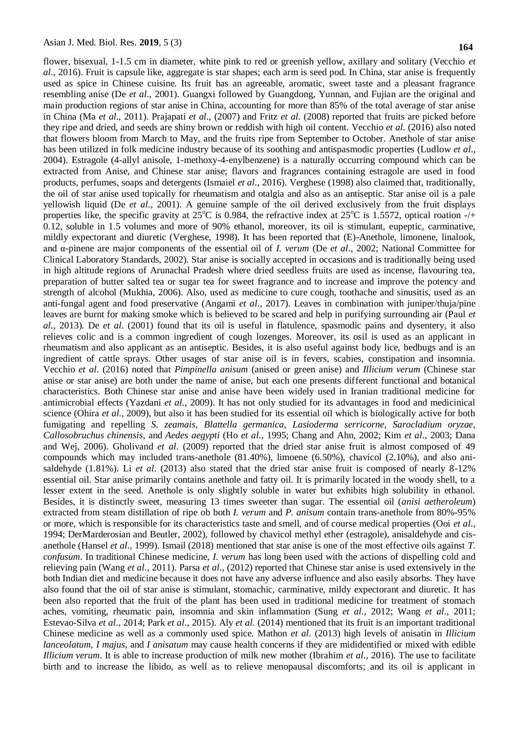flower, bisexual, 1-1.5 cm in diameter, white pink to red or greenish yellow, axillary and solitary (Vecchio *et al*., 2016). Fruit is capsule like, aggregate is star shapes; each arm is seed pod. In China, star anise is frequently used as spice in Chinese cuisine. Its fruit has an agreeable, aromatic, sweet taste and a pleasant fragrance resembling anise (De *et al*., 2001). Guangxi followed by Guangdong, Yunnan, and Fujian are the original and main production regions of star anise in China, accounting for more than 85% of the total average of star anise in China (Ma *et al*., 2011). Prajapati *et al*., (2007) and Fritz *et al*. (2008) reported that fruits are picked before they ripe and dried, and seeds are shiny brown or reddish with high oil content. Vecchio *et al*. (2016) also noted that flowers bloom from March to May, and the fruits ripe from September to October. Anethole of star anise has been utilized in folk medicine industry because of its soothing and antispasmodic properties (Ludlow *et al*., 2004). Estragole (4-allyl anisole, 1-methoxy-4-enylbenzene) is a naturally occurring compound which can be extracted from Anise, and Chinese star anise; flavors and fragrances containing estragole are used in food products, perfumes, soaps and detergents (Ismaiel *et al*., 2016). Verghese (1998) also claimed that, traditionally, the oil of star anise used topically for rheumatism and otalgia and also as an antiseptic. Star anise oil is a pale yellowish liquid (De *et al*., 2001). A genuine sample of the oil derived exclusively from the fruit displays properties like, the specific gravity at  $25^{\circ}\text{C}$  is 0.984, the refractive index at  $25^{\circ}\text{C}$  is 1.5572, optical roation -/+ 0.12, soluble in 1.5 volumes and more of 90% ethanol, moreover, its oil is stimulant, eupeptic, carminative, mildly expectorant and diuretic (Verghese, 1998). It has been reported that (E)-Anethole, limonene, linalook, and α-pinene are major components of the essential oil of *I. verum* (De *et al*., 2002; National Committee for Clinical Laboratory Standards, 2002). Star anise is socially accepted in occasions and is traditionally being used in high altitude regions of Arunachal Pradesh where dried seedless fruits are used as incense, flavouring tea, preparation of butter salted tea or sugar tea for sweet fragrance and to increase and improve the potency and strength of alcohol (Mukhia, 2006). Also, used as medicine to cure cough, toothache and sinusitis, used as an anti-fungal agent and food preservative (Angami *et al*., 2017). Leaves in combination with juniper/thuja/pine leaves are burnt for making smoke which is believed to be scared and help in purifying surrounding air (Paul *et al*., 2013). De *et al*. (2001) found that its oil is useful in flatulence, spasmodic pains and dysentery, it also relieves colic and is a common ingredient of cough lozenges. Moreover, its osil is used as an applicant in rheumatism and also applicant as an antiseptic. Besides, it is also useful against body lice, bedbugs and is an ingredient of cattle sprays. Other usages of star anise oil is in fevers, scabies, constipation and insomnia. Vecchio *et al*. (2016) noted that *Pimpinella anisum* (anised or green anise) and *Illicium verum* (Chinese star anise or star anise) are both under the name of anise, but each one presents different functional and botanical characteristics. Both Chinese star anise and anise have been widely used in Iranian traditional medicine for antimicrobial effects (Yazdani *et al*., 2009). It has not only studied for its advantages in food and medicinical science (Ohira *et al*., 2009), but also it has been studied for its essential oil which is biologically active for both fumigating and repelling *S. zeamais*, *Blattella germanica*, *Lasioderma serricorne*, *Sarocladium oryzae*, *Callosobruchus chinensis*, and *Aedes aegypti* (Ho *et al*., 1995; Chang and Ahn, 2002; Kim *et al*., 2003; Dana and Wej, 2006). Gholivand *et al*. (2009) reported that the dried star anise fruit is almost composed of 49 compounds which may included trans-anethole (81.40%), limoene (6.50%), chavicol (2.10%), and also anisaldehyde (1.81%). Li *et al*. (2013) also stated that the dried star anise fruit is composed of nearly 8-12% essential oil. Star anise primarily contains anethole and fatty oil. It is primarily located in the woody shell, to a lesser extent in the seed. Anethole is only slightly soluble in water but exhibits high solubility in ethanol. Besides, it is distinctly sweet, measuring 13 times sweeter than sugar. The essential oil (*anisi aetheroleum*) extracted from steam distillation of ripe ob both *I. verum* and *P. anisum* contain trans-anethole from 80%-95% or more, which is responsible for its characteristics taste and smell, and of course medical properties (Ooi *et al*., 1994; DerMarderosian and Beutler, 2002), followed by chavicol methyl ether (estragole), anisaldehyde and cisanethole (Hansel *et al*., 1999). Ismail (2018) mentioned that star anise is one of the most effective oils against *T. confusum*. In traditional Chinese medicine, *I. verum* has long been used with the actions of dispelling cold and relieving pain (Wang *et al*., 2011). Parsa *et al*., (2012) reported that Chinese star anise is used extensively in the both Indian diet and medicine because it does not have any adverse influence and also easily absorbs. They have also found that the oil of star anise is stimulant, stomachic, carminative, mildy expectorant and diuretic. It has been also reported that the fruit of the plant has been used in traditional medicine for treatment of stomach aches, vomiting, rheumatic pain, insomnia and skin inflammation (Sung *et al*., 2012; Wang *et al*., 2011; Estevao-Silva *et al*., 2014; Park *et al*., 2015). Aly *et al*. (2014) mentioned that its fruit is an important traditional Chinese medicine as well as a commonly used spice. Mathon *et al*. (2013) high levels of anisatin in *Illicium lanceolatum*, *I majus*, and *I anisatum* may cause health concerns if they are mididentified or mixed with edible *Illicium verum*. It is able to increase production of milk new mother (Ibrahim *et al*., 2016). The use to facilitate birth and to increase the libido, as well as to relieve menopausal discomforts; and its oil is applicant in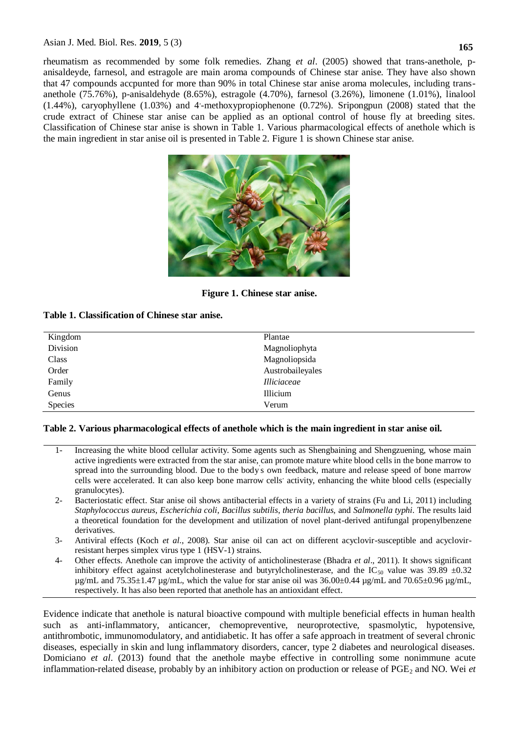### Asian J. Med. Biol. Res. **2019**, 5 (3)

rheumatism as recommended by some folk remedies. Zhang *et al*. (2005) showed that trans-anethole, panisaldeyde, farnesol, and estragole are main aroma compounds of Chinese star anise. They have also shown that 47 compounds accpunted for more than 90% in total Chinese star anise aroma molecules, including transanethole (75.76%), p-anisaldehyde (8.65%), estragole (4.70%), farnesol (3.26%), limonene (1.01%), linalool (1.44%), caryophyllene (1.03%) and 4'-methoxypropiophenone (0.72%). Sripongpun (2008) stated that the crude extract of Chinese star anise can be applied as an optional control of house fly at breeding sites. Classification of Chinese star anise is shown in Table 1. Various pharmacological effects of anethole which is the main ingredient in star anise oil is presented in Table 2. Figure 1 is shown Chinese star anise.



**Figure 1. Chinese star anise.**

# **Table 1. Classification of Chinese star anise.**

| Kingdom        | Plantae            |
|----------------|--------------------|
| Division       | Magnoliophyta      |
| Class          | Magnoliopsida      |
| Order          | Austrobaileyales   |
| Family         | <i>Illiciaceae</i> |
| Genus          | <b>Illicium</b>    |
| <b>Species</b> | Verum              |

### **Table 2. Various pharmacological effects of anethole which is the main ingredient in star anise oil.**

- 1- Increasing the white blood cellular activity. Some agents such as Shengbaining and Shengzuening, whose main active ingredients were extracted from the star anise, can promote mature white blood cells in the bone marrow to spread into the surrounding blood. Due to the body's own feedback, mature and release speed of bone marrow cells were accelerated. It can also keep bone marrow cells activity, enhancing the white blood cells (especially granulocytes).
- 2- Bacteriostatic effect. Star anise oil shows antibacterial effects in a variety of strains (Fu and Li, 2011) including *Staphylococcus aureus*, *Escherichia coli*, *Bacillus subtilis*, *theria bacillus*, and *Salmonella typhi*. The results laid a theoretical foundation for the development and utilization of novel plant-derived antifungal propenylbenzene derivatives.
- 3- Antiviral effects (Koch *et al*., 2008). Star anise oil can act on different acyclovir-susceptible and acyclovirresistant herpes simplex virus type 1 (HSV-1) strains.
- 4- Other effects. Anethole can improve the activity of anticholinesterase (Bhadra *et al*., 2011). It shows significant inhibitory effect against acetylcholinesterase and butyrylcholinesterase, and the IC<sub>50</sub> value was 39.89  $\pm$ 0.32  $\mu$ g/mL and 75.35±1.47  $\mu$ g/mL, which the value for star anise oil was 36.00±0.44  $\mu$ g/mL and 70.65±0.96  $\mu$ g/mL, respectively. It has also been reported that anethole has an antioxidant effect.

Evidence indicate that anethole is natural bioactive compound with multiple beneficial effects in human health such as anti-inflammatory, anticancer, chemopreventive, neuroprotective, spasmolytic, hypotensive, antithrombotic, immunomodulatory, and antidiabetic. It has offer a safe approach in treatment of several chronic diseases, especially in skin and lung inflammatory disorders, cancer, type 2 diabetes and neurological diseases. Domiciano *et al*. (2013) found that the anethole maybe effective in controlling some nonimmune acute inflammation-related disease, probably by an inhibitory action on production or release of PGE<sub>2</sub> and NO. Wei et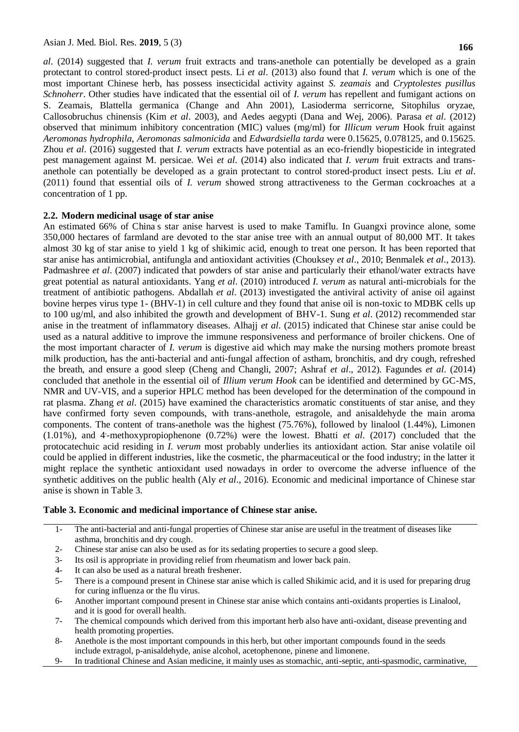*al*. (2014) suggested that *I. verum* fruit extracts and trans-anethole can potentially be developed as a grain protectant to control stored-product insect pests. Li *et al*. (2013) also found that *I. verum* which is one of the most important Chinese herb, has possess insecticidal activity against *S. zeamais* and *Cryptolestes pusillus Schnoherr*. Other studies have indicated that the essential oil of *I. verum* has repellent and fumigant actions on S. Zeamais, Blattella germanica (Change and Ahn 2001), Lasioderma serricorne, Sitophilus oryzae, Callosobruchus chinensis (Kim *et al*. 2003), and Aedes aegypti (Dana and Wej, 2006). Parasa *et al*. (2012) observed that minimum inhibitory concentration (MIC) values (mg/ml) for *Illicum verum* Hook fruit against *Aeromonas hydrophila*, *Aeromonas salmonicida* and *Edwardsiella tarda* were 0.15625, 0.078125, and 0.15625. Zhou *et al*. (2016) suggested that *I. verum* extracts have potential as an eco-friendly biopesticide in integrated pest management against M. persicae. Wei *et al*. (2014) also indicated that *I. verum* fruit extracts and transanethole can potentially be developed as a grain protectant to control stored-product insect pests. Liu *et al*. (2011) found that essential oils of *I. verum* showed strong attractiveness to the German cockroaches at a concentration of 1 pp.

# **2.2. Modern medicinal usage of star anise**

An estimated 66% of China' s star anise harvest is used to make Tamiflu. In Guangxi province alone, some 350,000 hectares of farmland are devoted to the star anise tree with an annual output of 80,000 MT. It takes almost 30 kg of star anise to yield 1 kg of shikimic acid, enough to treat one person. It has been reported that star anise has antimicrobial, antifungla and antioxidant activities (Chouksey *et al*., 2010; Benmalek *et al*., 2013). Padmashree *et al*. (2007) indicated that powders of star anise and particularly their ethanol/water extracts have great potential as natural antioxidants. Yang *et al*. (2010) introduced *I. verum* as natural anti-microbials for the treatment of antibiotic pathogens. Abdallah *et al*. (2013) investigated the antiviral activity of anise oil against bovine herpes virus type 1- (BHV-1) in cell culture and they found that anise oil is non-toxic to MDBK cells up to 100 ug/ml, and also inhibited the growth and development of BHV-1. Sung *et al*. (2012) recommended star anise in the treatment of inflammatory diseases. Alhajj *et al*. (2015) indicated that Chinese star anise could be used as a natural additive to improve the immune responsiveness and performance of broiler chickens. One of the most important character of *I. verum* is digestive aid which may make the nursing mothers promote breast milk production, has the anti-bacterial and anti-fungal affection of astham, bronchitis, and dry cough, refreshed the breath, and ensure a good sleep (Cheng and Changli, 2007; Ashraf *et al*., 2012). Fagundes *et al*. (2014) concluded that anethole in the essential oil of *Illium verum Hook* can be identified and determined by GC-MS, NMR and UV-VIS, and a superior HPLC method has been developed for the determination of the compound in rat plasma. Zhang *et al*. (2015) have examined the characteristics aromatic constituents of star anise, and they have confirmed forty seven compounds, with trans-anethole, estragole, and anisaldehyde the main aroma components. The content of trans-anethole was the highest (75.76%), followed by linalool (1.44%), Limonen  $(1.01\%)$ , and 4-methoxypropiophenone  $(0.72\%)$  were the lowest. Bhatti *et al.*  $(2017)$  concluded that the protocatechuic acid residing in *I. verum* most probably underlies its antioxidant action. Star anise volatile oil could be applied in different industries, like the cosmetic, the pharmaceutical or the food industry; in the latter it might replace the synthetic antioxidant used nowadays in order to overcome the adverse influence of the synthetic additives on the public health (Aly *et al*., 2016). Economic and medicinal importance of Chinese star anise is shown in Table 3.

### **Table 3. Economic and medicinal importance of Chinese star anise.**

- 1- The anti-bacterial and anti-fungal properties of Chinese star anise are useful in the treatment of diseases like asthma, bronchitis and dry cough.
- 2- Chinese star anise can also be used as for its sedating properties to secure a good sleep.
- 3- Its osil is appropriate in providing relief from rheumatism and lower back pain.
- 4- It can also be used as a natural breath freshener.
- 5- There is a compound present in Chinese star anise which is called Shikimic acid, and it is used for preparing drug for curing influenza or the flu virus.
- 6- Another important compound present in Chinese star anise which contains anti-oxidants properties is Linalool, and it is good for overall health.
- 7- The chemical compounds which derived from this important herb also have anti-oxidant, disease preventing and health promoting properties.
- 8- Anethole is the most important compounds in this herb, but other important compounds found in the seeds include extragol, p-anisaldehyde, anise alcohol, acetophenone, pinene and limonene.
- 9- In traditional Chinese and Asian medicine, it mainly uses as stomachic, anti-septic, anti-spasmodic, carminative,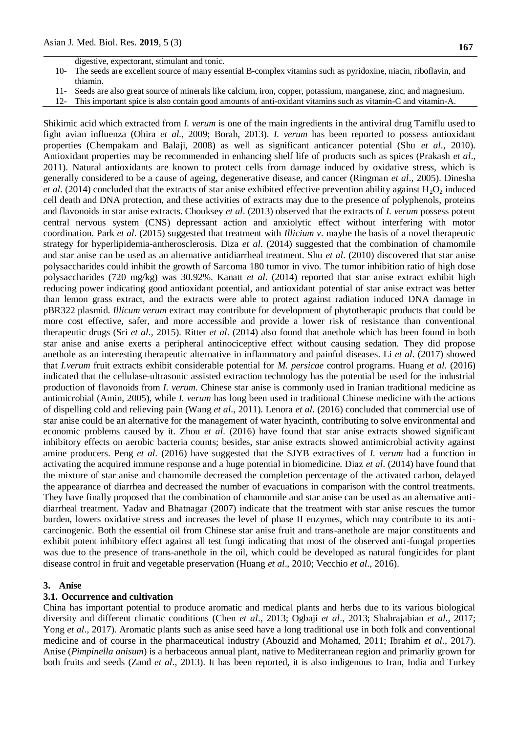digestive, expectorant, stimulant and tonic.

- 10- The seeds are excellent source of many essential B-complex vitamins such as pyridoxine, niacin, riboflavin, and thiamin.
- 11- Seeds are also great source of minerals like calcium, iron, copper, potassium, manganese, zinc, and magnesium.
- 12- This important spice is also contain good amounts of anti-oxidant vitamins such as vitamin-C and vitamin-A.

Shikimic acid which extracted from *I. verum* is one of the main ingredients in the antiviral drug Tamiflu used to fight avian influenza (Ohira *et al*., 2009; Borah, 2013). *I. verum* has been reported to possess antioxidant properties (Chempakam and Balaji, 2008) as well as significant anticancer potential (Shu *et al*., 2010). Antioxidant properties may be recommended in enhancing shelf life of products such as spices (Prakash *et al*., 2011). Natural antioxidants are known to protect cells from damage induced by oxidative stress, which is generally considered to be a cause of ageing, degenerative disease, and cancer (Ringman *et al*., 2005). Dinesha *et al.* (2014) concluded that the extracts of star anise exhibited effective prevention ability against  $H_2O_2$  induced cell death and DNA protection, and these activities of extracts may due to the presence of polyphenols, proteins and flavonoids in star anise extracts. Chouksey *et al*. (2013) observed that the extracts of *I. verum* possess potent central nervous system (CNS) depressant action and anxiolytic effect without interfering with motor coordination. Park *et al*. (2015) suggested that treatment with *Illicium v*. maybe the basis of a novel therapeutic strategy for hyperlipidemia-antherosclerosis. Diza *et al*. (2014) suggested that the combination of chamomile and star anise can be used as an alternative antidiarrheal treatment. Shu *et al*. (2010) discovered that star anise polysaccharides could inhibit the growth of Sarcoma 180 tumor in vivo. The tumor inhibition ratio of high dose polysaccharides (720 mg/kg) was 30.92%. Kanatt *et al*. (2014) reported that star anise extract exhibit high reducing power indicating good antioxidant potential, and antioxidant potential of star anise extract was better than lemon grass extract, and the extracts were able to protect against radiation induced DNA damage in pBR322 plasmid. *Illicum verum* extract may contribute for development of phytotherapic products that could be more cost effective, safer, and more accessible and provide a lower risk of resistance than conventional therapeutic drugs (Sri *et al*., 2015). Ritter *et al*. (2014) also found that anethole which has been found in both star anise and anise exerts a peripheral antinociceptive effect without causing sedation. They did propose anethole as an interesting therapeutic alternative in inflammatory and painful diseases. Li *et al*. (2017) showed that *I.verum* fruit extracts exhibit considerable potential for *M. persicae* control programs. Huang *et al*. (2016) indicated that the cellulase-ultrasonic assisted extraction technology has the potential be used for the industrial production of flavonoids from *I. verum*. Chinese star anise is commonly used in Iranian traditional medicine as antimicrobial (Amin, 2005), while *I. verum* has long been used in traditional Chinese medicine with the actions of dispelling cold and relieving pain (Wang *et al*., 2011). Lenora *et al*. (2016) concluded that commercial use of star anise could be an alternative for the management of water hyacinth, contributing to solve environmental and economic problems caused by it. Zhou *et al*. (2016) have found that star anise extracts showed significant inhibitory effects on aerobic bacteria counts; besides, star anise extracts showed antimicrobial activity against amine producers. Peng *et al*. (2016) have suggested that the SJYB extractives of *I. verum* had a function in activating the acquired immune response and a huge potential in biomedicine. Diaz *et al*. (2014) have found that the mixture of star anise and chamomile decreased the completion percentage of the activated carbon, delayed the appearance of diarrhea and decreased the number of evacuations in comparison with the control treatments. They have finally proposed that the combination of chamomile and star anise can be used as an alternative antidiarrheal treatment. Yadav and Bhatnagar (2007) indicate that the treatment with star anise rescues the tumor burden, lowers oxidative stress and increases the level of phase II enzymes, which may contribute to its anticarcinogenic. Both the essential oil from Chinese star anise fruit and trans-anethole are major constituents and exhibit potent inhibitory effect against all test fungi indicating that most of the observed anti-fungal properties was due to the presence of trans-anethole in the oil, which could be developed as natural fungicides for plant disease control in fruit and vegetable preservation (Huang *et al*., 2010; Vecchio *et al*., 2016).

# **3. Anise**

# **3.1. Occurrence and cultivation**

China has important potential to produce aromatic and medical plants and herbs due to its various biological diversity and different climatic conditions (Chen *et al*., 2013; Ogbaji *et al*., 2013; Shahrajabian *et al*., 2017; Yong *et al.*, 2017). Aromatic plants such as anise seed have a long traditional use in both folk and conventional medicine and of course in the pharmaceutical industry (Abouzid and Mohamed, 2011; Ibrahim *et al*., 2017). Anise (*Pimpinella anisum*) is a herbaceous annual plant, native to Mediterranean region and primarliy grown for both fruits and seeds (Zand *et al*., 2013). It has been reported, it is also indigenous to Iran, India and Turkey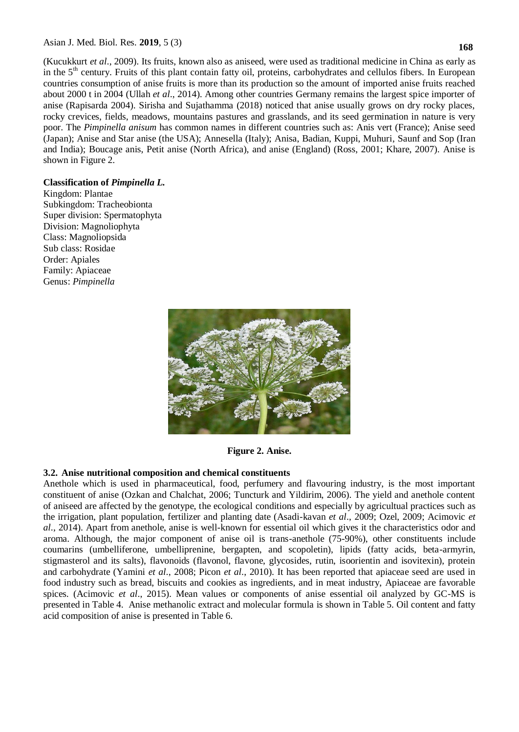Asian J. Med. Biol. Res. **2019**, 5 (3)

(Kucukkurt *et al*., 2009). Its fruits, known also as aniseed, were used as traditional medicine in China as early as in the  $5<sup>th</sup>$  century. Fruits of this plant contain fatty oil, proteins, carbohydrates and cellulos fibers. In European countries consumption of anise fruits is more than its production so the amount of imported anise fruits reached about 2000 t in 2004 (Ullah *et al*., 2014). Among other countries Germany remains the largest spice importer of anise (Rapisarda 2004). Sirisha and Sujathamma (2018) noticed that anise usually grows on dry rocky places, rocky crevices, fields, meadows, mountains pastures and grasslands, and its seed germination in nature is very poor. The *Pimpinella anisum* has common names in different countries such as: Anis vert (France); Anise seed (Japan); Anise and Star anise (the USA); Annesella (Italy); Anisa, Badian, Kuppi, Muhuri, Saunf and Sop (Iran and India); Boucage anis, Petit anise (North Africa), and anise (England) (Ross, 2001; Khare, 2007). Anise is shown in Figure 2.

# **Classification of** *Pimpinella L.*

Kingdom: Plantae Subkingdom: Tracheobionta Super division: Spermatophyta Division: Magnoliophyta Class: Magnoliopsida Sub class: Rosidae Order: Apiales Family: Apiaceae Genus: *Pimpinella*



**Figure 2. Anise.**

# **3.2. Anise nutritional composition and chemical constituents**

Anethole which is used in pharmaceutical, food, perfumery and flavouring industry, is the most important constituent of anise (Ozkan and Chalchat, 2006; Tuncturk and Yildirim, 2006). The yield and anethole content of aniseed are affected by the genotype, the ecological conditions and especially by agricultual practices such as the irrigation, plant population, fertilizer and planting date (Asadi-kavan *et al*., 2009; Ozel, 2009; Acimovic *et al*., 2014). Apart from anethole, anise is well-known for essential oil which gives it the characteristics odor and aroma. Although, the major component of anise oil is trans-anethole (75-90%), other constituents include coumarins (umbelliferone, umbelliprenine, bergapten, and scopoletin), lipids (fatty acids, beta-armyrin, stigmasterol and its salts), flavonoids (flavonol, flavone, glycosides, rutin, isoorientin and isovitexin), protein and carbohydrate (Yamini *et al*., 2008; Picon *et al*., 2010). It has been reported that apiaceae seed are used in food industry such as bread, biscuits and cookies as ingredients, and in meat industry, Apiaceae are favorable spices. (Acimovic *et al*., 2015). Mean values or components of anise essential oil analyzed by GC-MS is presented in Table 4. Anise methanolic extract and molecular formula is shown in Table 5. Oil content and fatty acid composition of anise is presented in Table 6.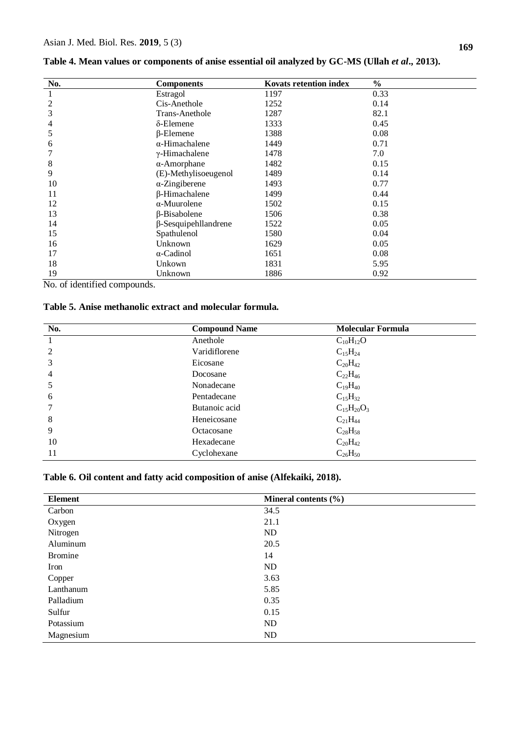| No. | <b>Components</b>           | <b>Kovats retention index</b> | $\frac{0}{0}$ |
|-----|-----------------------------|-------------------------------|---------------|
|     | Estragol                    | 1197                          | 0.33          |
| 2   | Cis-Anethole                | 1252                          | 0.14          |
| 3   | <b>Trans-Anethole</b>       | 1287                          | 82.1          |
| 4   | $\delta$ -Elemene           | 1333                          | 0.45          |
| 5   | $\beta$ -Elemene            | 1388                          | 0.08          |
| 6   | $\alpha$ -Himachalene       | 1449                          | 0.71          |
|     | $\gamma$ -Himachalene       | 1478                          | 7.0           |
| 8   | $\alpha$ -Amorphane         | 1482                          | 0.15          |
| 9   | (E)-Methylisoeugenol        | 1489                          | 0.14          |
| 10  | $\alpha$ -Zingiberene       | 1493                          | 0.77          |
| 11  | β-Himachalene               | 1499                          | 0.44          |
| 12  | $\alpha$ -Muurolene         | 1502                          | 0.15          |
| 13  | $\beta$ -Bisabolene         | 1506                          | 0.38          |
| 14  | $\beta$ -Sesquipehllandrene | 1522                          | 0.05          |
| 15  | Spathulenol                 | 1580                          | 0.04          |
| 16  | Unknown                     | 1629                          | 0.05          |
| 17  | $\alpha$ -Cadinol           | 1651                          | 0.08          |
| 18  | Unkown                      | 1831                          | 5.95          |
| 19  | Unknown                     | 1886                          | 0.92          |

Table 4. Mean values or components of anise essential oil analyzed by GC-MS (Ullah *et al.*, 2013).

No. of identified compounds.

# **Table 5. Anise methanolic extract and molecular formula.**

| No.            | <b>Compound Name</b> | <b>Molecular Formula</b> |
|----------------|----------------------|--------------------------|
|                | Anethole             | $C_{10}H_{12}O$          |
| 2              | Varidiflorene        | $C_{15}H_{24}$           |
| 3              | Eicosane             | $C_{20}H_{42}$           |
| $\overline{4}$ | Docosane             | $C_{22}H_{46}$           |
| 5              | Nonadecane           | $C_{19}H_{40}$           |
| 6              | Pentadecane          | $C_{15}H_{32}$           |
|                | Butanoic acid        | $C_{15}H_{20}O_3$        |
| 8              | Heneicosane          | $C_{21}H_{44}$           |
| 9              | Octacosane           | $C_{28}H_{58}$           |
| 10             | Hexadecane           | $C_{20}H_{42}$           |
| 11             | Cyclohexane          | $C_{26}H_{50}$           |

# **Table 6. Oil content and fatty acid composition of anise (Alfekaiki, 2018).**

| <b>Element</b> | Mineral contents $(\% )$ |
|----------------|--------------------------|
| Carbon         | 34.5                     |
| Oxygen         | 21.1                     |
| Nitrogen       | ND                       |
| Aluminum       | 20.5                     |
| <b>Bromine</b> | 14                       |
| Iron           | ND                       |
| Copper         | 3.63                     |
| Lanthanum      | 5.85                     |
| Palladium      | 0.35                     |
| Sulfur         | 0.15                     |
| Potassium      | ND                       |
| Magnesium      | ND                       |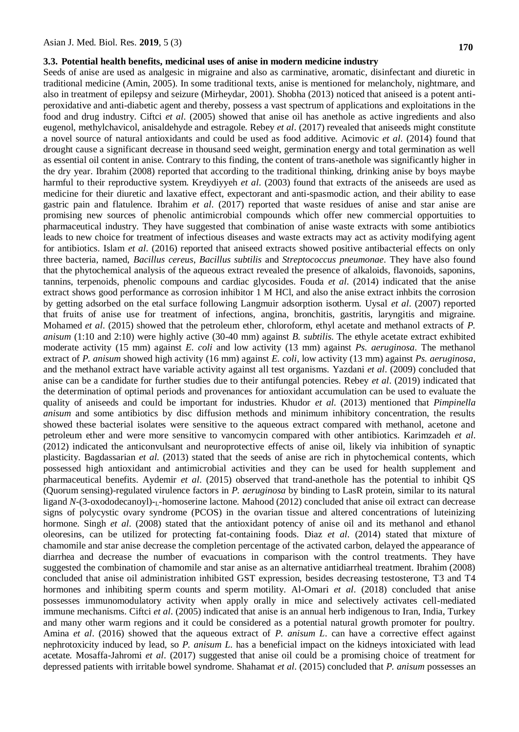Seeds of anise are used as analgesic in migraine and also as carminative, aromatic, disinfectant and diuretic in traditional medicine (Amin, 2005). In some traditional texts, anise is mentioned for melancholy, nightmare, and also in treatment of epilepsy and seizure (Mirheydar, 2001). Shobha (2013) noticed that aniseed is a potent antiperoxidative and anti-diabetic agent and thereby, possess a vast spectrum of applications and exploitations in the food and drug industry. Ciftci *et al*. (2005) showed that anise oil has anethole as active ingredients and also eugenol, methylchavicol, anisaldehyde and estragole. Rebey *et al*. (2017) revealed that aniseeds might constitute a novel source of natural antioxidants and could be used as food additive. Acimovic *et al*. (2014) found that drought cause a significant decrease in thousand seed weight, germination energy and total germination as well as essential oil content in anise. Contrary to this finding, the content of trans-anethole was significantly higher in the dry year. Ibrahim (2008) reported that according to the traditional thinking, drinking anise by boys maybe harmful to their reproductive system. Kreydiyyeh *et al*. (2003) found that extracts of the aniseeds are used as medicine for their diuretic and laxative effect, expectorant and anti-spasmodic action, and their ability to ease gastric pain and flatulence. Ibrahim *et al*. (2017) reported that waste residues of anise and star anise are promising new sources of phenolic antimicrobial compounds which offer new commercial opportuities to pharmaceutical industry. They have suggested that combination of anise waste extracts with some antibiotics leads to new choice for treatment of infectious diseases and waste extracts may act as activity modifying agent for antibiotics. Islam *et al*. (2016) reported that aniseed extracts showed positive antibacterial effects on only three bacteria, named, *Bacillus cereus*, *Bacillus subtilis* and *Streptococcus pneumonae*. They have also found that the phytochemical analysis of the aqueous extract revealed the presence of alkaloids, flavonoids, saponins, tannins, terpenoids, phenolic compouns and cardiac glycosides. Fouda *et al*. (2014) indicated that the anise extract shows good performance as corrosion inhibitor 1 M HCl, and also the anise extract inhbits the corrosion by getting adsorbed on the etal surface following Langmuir adsorption isotherm. Uysal *et al*. (2007) reported that fruits of anise use for treatment of infections, angina, bronchitis, gastritis, laryngitis and migraine. Mohamed *et al*. (2015) showed that the petroleum ether, chloroform, ethyl acetate and methanol extracts of *P. anisum* (1:10 and 2:10) were highly active (30-40 mm) against *B. subtilis*. The ethyle acetate extract exhibited moderate activity (15 mm) against *E. coli* and low activity (13 mm) against *Ps. aeruginosa*. The methanol extract of *P. anisum* showed high activity (16 mm) against *E. coli*, low activity (13 mm) against *Ps. aeruginosa*, and the methanol extract have variable activity against all test organisms. Yazdani *et al*. (2009) concluded that anise can be a candidate for further studies due to their antifungal potencies. Rebey *et al*. (2019) indicated that the determination of optimal periods and provenances for antioxidant accumulation can be used to evaluate the quality of aniseeds and could be important for industries. Khudor *et al*. (2013) mentioned that *Pimpinella anisum* and some antibiotics by disc diffusion methods and minimum inhibitory concentration, the results showed these bacterial isolates were sensitive to the aqueous extract compared with methanol, acetone and petroleum ether and were more sensitive to vancomycin compared with other antibiotics. Karimzadeh *et al*. (2012) indicated the anticonvulsant and neuroprotective effects of anise oil, likely via inhibition of synaptic plasticity. Bagdassarian *et al*. (2013) stated that the seeds of anise are rich in phytochemical contents, which possessed high antioxidant and antimicrobial activities and they can be used for health supplement and pharmaceutical benefits. Aydemir *et al*. (2015) observed that trand-anethole has the potential to inhibit QS (Quorum sensing)-regulated virulence factors in *P. aeruginosa* by binding to LasR protein, similar to its natural ligand *N*-(3-oxododecanoyl)-<sub>L</sub>-homoserine lactone. Mahood (2012) concluded that anise oil extract can decrease signs of polycystic ovary syndrome (PCOS) in the ovarian tissue and altered concentrations of luteinizing hormone. Singh *et al*. (2008) stated that the antioxidant potency of anise oil and its methanol and ethanol oleoresins, can be utilized for protecting fat-containing foods. Diaz *et al*. (2014) stated that mixture of chamomile and star anise decrease the completion percentage of the activated carbon, delayed the appearance of diarrhea and decrease the number of evacuations in comparison with the control treatments. They have suggested the combination of chamomile and star anise as an alternative antidiarrheal treatment. Ibrahim (2008) concluded that anise oil administration inhibited GST expression, besides decreasing testosterone, T3 and T4 hormones and inhibiting sperm counts and sperm motility. Al-Omari *et al*. (2018) concluded that anise possesses immunomodulatory activity when apply orally in mice and selectively activates cell-mediated immune mechanisms. Ciftci *et al*. (2005) indicated that anise is an annual herb indigenous to Iran, India, Turkey and many other warm regions and it could be considered as a potential natural growth promoter for poultry. Amina *et al*. (2016) showed that the aqueous extract of *P. anisum L*. can have a corrective effect against nephrotoxicity induced by lead, so *P. anisum L*. has a beneficial impact on the kidneys intoxiciated with lead acetate. Mosaffa-Jahromi *et al*. (2017) suggested that anise oil could be a promising choice of treatment for depressed patients with irritable bowel syndrome. Shahamat *et al*. (2015) concluded that *P. anisum* possesses an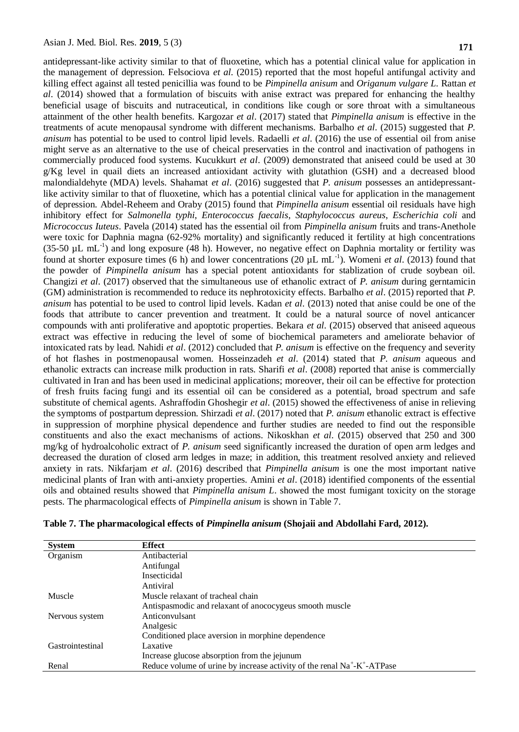antidepressant-like activity similar to that of fluoxetine, which has a potential clinical value for application in the management of depression. Felsociova *et al*. (2015) reported that the most hopeful antifungal activity and killing effect against all tested penicillia was found to be *Pimpinella anisum* and *Origanum vulgare L*. Rattan *et al*. (2014) showed that a formulation of biscuits with anise extract was prepared for enhancing the healthy beneficial usage of biscuits and nutraceutical, in conditions like cough or sore throat with a simultaneous attainment of the other health benefits. Kargozar *et al*. (2017) stated that *Pimpinella anisum* is effective in the treatments of acute menopausal syndrome with different mechanisms. Barbalho *et al*. (2015) suggested that *P. anisum* has potential to be used to control lipid levels. Radaelli *et al*. (2016) the use of essential oil from anise might serve as an alternative to the use of cheical preservaties in the control and inactivation of pathogens in commercially produced food systems. Kucukkurt *et al*. (2009) demonstrated that aniseed could be used at 30 g/Kg level in quail diets an increased antioxidant activity with glutathion (GSH) and a decreased blood malondialdehyte (MDA) levels. Shahamat *et al*. (2016) suggested that *P. anisum* possesses an antidepressantlike activity similar to that of fluoxetine, which has a potential clinical value for application in the management of depression. Abdel-Reheem and Oraby (2015) found that *Pimpinella anisum* essential oil residuals have high inhibitory effect for *Salmonella typhi*, *Enterococcus faecalis*, *Staphylococcus aureus*, *Escherichia coli* and *Micrococcus Iuteus*. Pavela (2014) stated has the essential oil from *Pimpinella anisum* fruits and trans-Anethole were toxic for Daphnia magna (62-92% mortality) and significantly reduced it fertility at high concentrations  $(35-50 \mu L \text{ mL}^{-1})$  and long exposure (48 h). However, no negative effect on Daphnia mortality or fertility was found at shorter exposure times (6 h) and lower concentrations (20  $\mu$ L mL<sup>-1</sup>). Womeni *et al.* (2013) found that the powder of *Pimpinella anisum* has a special potent antioxidants for stablization of crude soybean oil. Changizi *et al*. (2017) observed that the simultaneous use of ethanolic extract of *P. anisum* during gerntamicin (GM) administration is recommended to reduce its nephrotoxicity effects. Barbalho *et al*. (2015) reported that *P. anisum* has potential to be used to control lipid levels. Kadan *et al*. (2013) noted that anise could be one of the foods that attribute to cancer prevention and treatment. It could be a natural source of novel anticancer compounds with anti proliferative and apoptotic properties. Bekara *et al*. (2015) observed that aniseed aqueous extract was effective in reducing the level of some of biochemical parameters and ameliorate behavior of intoxicated rats by lead. Nahidi *et al*. (2012) concluded that *P. anisum* is effective on the frequency and severity of hot flashes in postmenopausal women. Hosseinzadeh *et al*. (2014) stated that *P. anisum* aqueous and ethanolic extracts can increase milk production in rats. Sharifi *et al*. (2008) reported that anise is commercially cultivated in Iran and has been used in medicinal applications; moreover, their oil can be effective for protection of fresh fruits facing fungi and its essential oil can be considered as a potential, broad spectrum and safe substitute of chemical agents. Ashraffodin Ghoshegir *et al*. (2015) showed the effectiveness of anise in relieving the symptoms of postpartum depression. Shirzadi *et al*. (2017) noted that *P. anisum* ethanolic extract is effective in suppression of morphine physical dependence and further studies are needed to find out the responsible constituents and also the exact mechanisms of actions. Nikoskhan *et al*. (2015) observed that 250 and 300 mg/kg of hydroalcoholic extract of *P. anisum* seed significantly increased the duration of open arm ledges and decreased the duration of closed arm ledges in maze; in addition, this treatment resolved anxiety and relieved anxiety in rats. Nikfarjam *et al*. (2016) described that *Pimpinella anisum* is one the most important native medicinal plants of Iran with anti-anxiety properties. Amini *et al*. (2018) identified components of the essential oils and obtained results showed that *Pimpinella anisum L*. showed the most fumigant toxicity on the storage pests. The pharmacological effects of *Pimpinella anisum* is shown in Table 7.

| <b>System</b>    | <b>Effect</b>                                                                  |
|------------------|--------------------------------------------------------------------------------|
| Organism         | Antibacterial                                                                  |
|                  | Antifungal                                                                     |
|                  | Insecticidal                                                                   |
|                  | Antiviral                                                                      |
| Muscle           | Muscle relaxant of tracheal chain                                              |
|                  | Antispasmodic and relaxant of anococygeus smooth muscle                        |
| Nervous system   | Anticonvulsant                                                                 |
|                  | Analgesic                                                                      |
|                  | Conditioned place aversion in morphine dependence                              |
| Gastrointestinal | Laxative                                                                       |
|                  | Increase glucose absorption from the jejunum                                   |
| Renal            | Reduce volume of urine by increase activity of the renal $Na^+ - K^+ - ATP$ as |

|  |  | Table 7. The pharmacological effects of <i>Pimpinella anisum</i> (Shojaii and Abdollahi Fard, 2012). |
|--|--|------------------------------------------------------------------------------------------------------|
|  |  |                                                                                                      |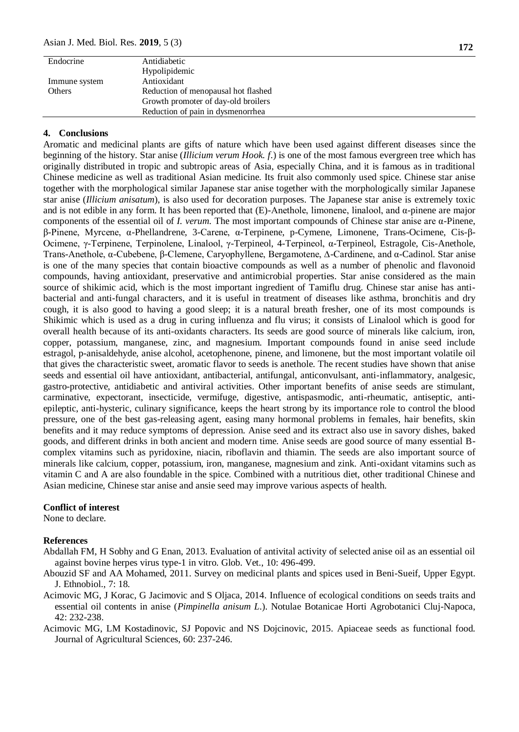| Endocrine     | Antidiabetic                        |
|---------------|-------------------------------------|
|               | <b>Hypolipidemic</b>                |
| Immune system | Antioxidant                         |
| Others        | Reduction of menopausal hot flashed |
|               | Growth promoter of day-old broilers |
|               | Reduction of pain in dysmenorrhea   |
|               |                                     |

### **4. Conclusions**

Aromatic and medicinal plants are gifts of nature which have been used against different diseases since the beginning of the history. Star anise (*Illicium verum Hook. f*.) is one of the most famous evergreen tree which has originally distributed in tropic and subtropic areas of Asia, especially China, and it is famous as in traditional Chinese medicine as well as traditional Asian medicine. Its fruit also commonly used spice. Chinese star anise together with the morphological similar Japanese star anise together with the morphologically similar Japanese star anise (*Illicium anisatum*), is also used for decoration purposes. The Japanese star anise is extremely toxic and is not edible in any form. It has been reported that (E)-Anethole, limonene, linalool, and α-pinene are major components of the essential oil of *I. verum.* The most important compounds of Chinese star anise are α-Pinene, β-Pinene, Myrcene, α-Phellandrene, 3-Carene, α-Terpinene, p-Cymene, Limonene, Trans-Ocimene, Cis-β-Ocimene, γ-Terpinene, Terpinolene, Linalool, γ-Terpineol, 4-Terpineol, α-Terpineol, Estragole, Cis-Anethole, Trans-Anethole, α-Cubebene, β-Clemene, Caryophyllene, Bergamotene, ∆-Cardinene, and α-Cadinol. Star anise is one of the many species that contain bioactive compounds as well as a number of phenolic and flavonoid compounds, having antioxidant, preservative and antimicrobial properties. Star anise considered as the main source of shikimic acid, which is the most important ingredient of Tamiflu drug. Chinese star anise has antibacterial and anti-fungal characters, and it is useful in treatment of diseases like asthma, bronchitis and dry cough, it is also good to having a good sleep; it is a natural breath fresher, one of its most compounds is Shikimic which is used as a drug in curing influenza and flu virus; it consists of Linalool which is good for overall health because of its anti-oxidants characters. Its seeds are good source of minerals like calcium, iron, copper, potassium, manganese, zinc, and magnesium. Important compounds found in anise seed include estragol, p-anisaldehyde, anise alcohol, acetophenone, pinene, and limonene, but the most important volatile oil that gives the characteristic sweet, aromatic flavor to seeds is anethole. The recent studies have shown that anise seeds and essential oil have antioxidant, antibacterial, antifungal, anticonvulsant, anti-inflammatory, analgesic, gastro-protective, antidiabetic and antiviral activities. Other important benefits of anise seeds are stimulant, carminative, expectorant, insecticide, vermifuge, digestive, antispasmodic, anti-rheumatic, antiseptic, antiepileptic, anti-hysteric, culinary significance, keeps the heart strong by its importance role to control the blood pressure, one of the best gas-releasing agent, easing many hormonal problems in females, hair benefits, skin benefits and it may reduce symptoms of depression. Anise seed and its extract also use in savory dishes, baked goods, and different drinks in both ancient and modern time. Anise seeds are good source of many essential Bcomplex vitamins such as pyridoxine, niacin, riboflavin and thiamin. The seeds are also important source of minerals like calcium, copper, potassium, iron, manganese, magnesium and zink. Anti-oxidant vitamins such as vitamin C and A are also foundable in the spice. Combined with a nutritious diet, other traditional Chinese and Asian medicine, Chinese star anise and ansie seed may improve various aspects of health.

#### **Conflict of interest**

None to declare.

### **References**

Abdallah FM, H Sobhy and G Enan, 2013. Evaluation of antivital activity of selected anise oil as an essential oil against bovine herpes virus type-1 in vitro. Glob. Vet., 10: 496-499.

- Abouzid SF and AA Mohamed, 2011. Survey on medicinal plants and spices used in Beni-Sueif, Upper Egypt. J. Ethnobiol., 7: 18.
- Acimovic MG, J Korac, G Jacimovic and S Oljaca, 2014. Influence of ecological conditions on seeds traits and essential oil contents in anise (*Pimpinella anisum L*.). Notulae Botanicae Horti Agrobotanici Cluj-Napoca, 42: 232-238.
- Acimovic MG, LM Kostadinovic, SJ Popovic and NS Dojcinovic, 2015. Apiaceae seeds as functional food. Journal of Agricultural Sciences, 60: 237-246.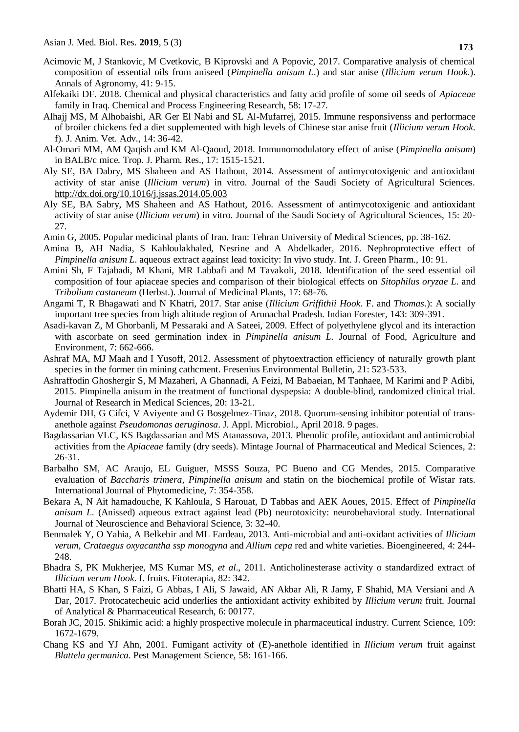- Acimovic M, J Stankovic, M Cvetkovic, B Kiprovski and A Popovic, 2017. Comparative analysis of chemical composition of essential oils from aniseed (*Pimpinella anisum L*.) and star anise (*Illicium verum Hook*.). Annals of Agronomy, 41: 9-15.
- Alfekaiki DF. 2018. Chemical and physical characteristics and fatty acid profile of some oil seeds of *Apiaceae* family in Iraq. Chemical and Process Engineering Research, 58: 17-27.
- Alhajj MS, M Alhobaishi, AR Ger El Nabi and SL Al-Mufarrej, 2015. Immune responsivenss and performace of broiler chickens fed a diet supplemented with high levels of Chinese star anise fruit (*Illicium verum Hook*. f). J. Anim. Vet. Adv., 14: 36-42.
- Al-Omari MM, AM Qaqish and KM Al-Qaoud, 2018. Immunomodulatory effect of anise (*Pimpinella anisum*) in BALB/c mice. Trop. J. Pharm. Res., 17: 1515-1521.
- Aly SE, BA Dabry, MS Shaheen and AS Hathout, 2014. Assessment of antimycotoxigenic and antioxidant activity of star anise (*Illicium verum*) in vitro. Journal of the Saudi Society of Agricultural Sciences. <http://dx.doi.org/10.1016/j.jssas.2014.05.003>
- Aly SE, BA Sabry, MS Shaheen and AS Hathout, 2016. Assessment of antimycotoxigenic and antioxidant activity of star anise (*Illicium verum*) in vitro. Journal of the Saudi Society of Agricultural Sciences, 15: 20- 27.
- Amin G, 2005. Popular medicinal plants of Iran. Iran: Tehran University of Medical Sciences, pp. 38-162.
- Amina B, AH Nadia, S Kahloulakhaled, Nesrine and A Abdelkader, 2016. Nephroprotective effect of *Pimpinella anisum L*. aqueous extract against lead toxicity: In vivo study. Int. J. Green Pharm., 10: 91.
- Amini Sh, F Tajabadi, M Khani, MR Labbafi and M Tavakoli, 2018. Identification of the seed essential oil composition of four apiaceae species and comparison of their biological effects on *Sitophilus oryzae L*. and *Tribolium castaneum* (Herbst.). Journal of Medicinal Plants, 17: 68-76.
- Angami T, R Bhagawati and N Khatri, 2017. Star anise (*Illicium Griffithii Hook*. F. and *Thomas*.): A socially important tree species from high altitude region of Arunachal Pradesh. Indian Forester, 143: 309-391.
- Asadi-kavan Z, M Ghorbanli, M Pessaraki and A Sateei, 2009. Effect of polyethylene glycol and its interaction with ascorbate on seed germination index in *Pimpinella anisum L*. Journal of Food, Agriculture and Environment, 7: 662-666.
- Ashraf MA, MJ Maah and I Yusoff, 2012. Assessment of phytoextraction efficiency of naturally growth plant species in the former tin mining cathcment. Fresenius Environmental Bulletin, 21: 523-533.
- Ashraffodin Ghoshergir S, M Mazaheri, A Ghannadi, A Feizi, M Babaeian, M Tanhaee, M Karimi and P Adibi, 2015. Pimpinella anisum in the treatment of functional dyspepsia: A double-blind, randomized clinical trial. Journal of Research in Medical Sciences, 20: 13-21.
- Aydemir DH, G Cifci, V Aviyente and G Bosgelmez-Tinaz, 2018. Quorum-sensing inhibitor potential of transanethole against *Pseudomonas aeruginosa*. J. Appl. Microbiol., April 2018. 9 pages.
- Bagdassarian VLC, KS Bagdassarian and MS Atanassova, 2013. Phenolic profile, antioxidant and antimicrobial activities from the *Apiaceae* family (dry seeds). Mintage Journal of Pharmaceutical and Medical Sciences, 2: 26-31.
- Barbalho SM, AC Araujo, EL Guiguer, MSSS Souza, PC Bueno and CG Mendes, 2015. Comparative evaluation of *Baccharis trimera*, *Pimpinella anisum* and statin on the biochemical profile of Wistar rats. International Journal of Phytomedicine, 7: 354-358.
- Bekara A, N Ait hamadouche, K Kahloula, S Harouat, D Tabbas and AEK Aoues, 2015. Effect of *Pimpinella anisum L*. (Anissed) aqueous extract against lead (Pb) neurotoxicity: neurobehavioral study. International Journal of Neuroscience and Behavioral Science, 3: 32-40.
- Benmalek Y, O Yahia, A Belkebir and ML Fardeau, 2013. Anti-microbial and anti-oxidant activities of *Illicium verum*, *Crataegus oxyacantha ssp monogyna* and *Allium cepa* red and white varieties. Bioengineered, 4: 244- 248.
- Bhadra S, PK Mukherjee, MS Kumar MS, *et al*., 2011. Anticholinesterase activity o standardized extract of *Illicium verum Hook*. f. fruits. Fitoterapia, 82: 342.
- Bhatti HA, S Khan, S Faizi, G Abbas, I Ali, S Jawaid, AN Akbar Ali, R Jamy, F Shahid, MA Versiani and A Dar, 2017. Protocatecheuic acid underlies the antioxidant activity exhibited by *Illicium verum* fruit. Journal of Analytical & Pharmaceutical Research, 6: 00177.
- Borah JC, 2015. Shikimic acid: a highly prospective molecule in pharmaceutical industry. Current Science, 109: 1672-1679.
- Chang KS and YJ Ahn, 2001. Fumigant activity of (E)-anethole identified in *Illicium verum* fruit against *Blattela germanica*. Pest Management Science, 58: 161-166.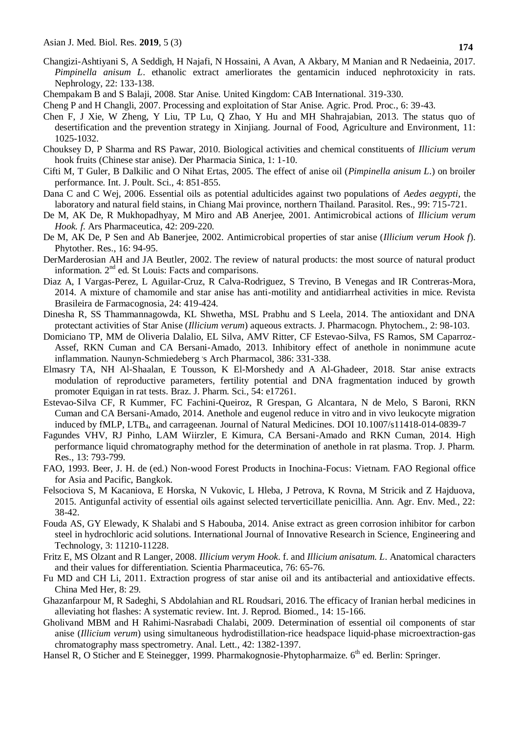- Changizi-Ashtiyani S, A Seddigh, H Najafi, N Hossaini, A Avan, A Akbary, M Manian and R Nedaeinia, 2017. *Pimpinella anisum L*. ethanolic extract amerliorates the gentamicin induced nephrotoxicity in rats. Nephrology, 22: 133-138.
- Chempakam B and S Balaji, 2008. Star Anise. United Kingdom: CAB International. 319-330.
- Cheng P and H Changli, 2007. Processing and exploitation of Star Anise. Agric. Prod. Proc., 6: 39-43.
- Chen F, J Xie, W Zheng, Y Liu, TP Lu, Q Zhao, Y Hu and MH Shahrajabian, 2013. The status quo of desertification and the prevention strategy in Xinjiang. Journal of Food, Agriculture and Environment, 11: 1025-1032.
- Chouksey D, P Sharma and RS Pawar, 2010. Biological activities and chemical constituents of *Illicium verum* hook fruits (Chinese star anise). Der Pharmacia Sinica, 1: 1-10.
- Cifti M, T Guler, B Dalkilic and O Nihat Ertas, 2005. The effect of anise oil (*Pimpinella anisum L*.) on broiler performance. Int. J. Poult. Sci., 4: 851-855.
- Dana C and C Wej, 2006. Essential oils as potential adulticides against two populations of *Aedes aegypti*, the laboratory and natural field stains, in Chiang Mai province, northern Thailand. Parasitol. Res., 99: 715-721.
- De M, AK De, R Mukhopadhyay, M Miro and AB Anerjee, 2001. Antimicrobical actions of *Illicium verum Hook. f*. Ars Pharmaceutica, 42: 209-220.
- De M, AK De, P Sen and Ab Banerjee, 2002. Antimicrobical properties of star anise (*Illicium verum Hook f*). Phytother. Res., 16: 94-95.
- DerMarderosian AH and JA Beutler, 2002. The review of natural products: the most source of natural product information.  $2<sup>nd</sup>$  ed. St Louis: Facts and comparisons.
- Diaz A, I Vargas-Perez, L Aguilar-Cruz, R Calva-Rodriguez, S Trevino, B Venegas and IR Contreras-Mora, 2014. A mixture of chamomile and star anise has anti-motility and antidiarrheal activities in mice. Revista Brasileira de Farmacognosia, 24: 419-424.
- Dinesha R, SS Thammannagowda, KL Shwetha, MSL Prabhu and S Leela, 2014. The antioxidant and DNA protectant activities of Star Anise (*Illicium verum*) aqueous extracts. J. Pharmacogn. Phytochem., 2: 98-103.
- Domiciano TP, MM de Oliveria Dalalio, EL Silva, AMV Ritter, CF Estevao-Silva, FS Ramos, SM Caparroz-Assef, RKN Cuman and CA Bersani-Amado, 2013. Inhibitory effect of anethole in nonimmune acute inflammation. Naunyn-Schmiedeberg 's Arch Pharmacol, 386: 331-338.
- Elmasry TA, NH Al-Shaalan, E Tousson, K El-Morshedy and A Al-Ghadeer, 2018. Star anise extracts modulation of reproductive parameters, fertility potential and DNA fragmentation induced by growth promoter Equigan in rat tests. Braz. J. Pharm. Sci., 54: e17261.
- Estevao-Silva CF, R Kummer, FC Fachini-Queiroz, R Grespan, G Alcantara, N de Melo, S Baroni, RKN Cuman and CA Bersani-Amado, 2014. Anethole and eugenol reduce in vitro and in vivo leukocyte migration induced by fMLP, LTB4, and carrageenan. Journal of Natural Medicines. DOI 10.1007/s11418-014-0839-7
- Fagundes VHV, RJ Pinho, LAM Wiirzler, E Kimura, CA Bersani-Amado and RKN Cuman, 2014. High performance liquid chromatography method for the determination of anethole in rat plasma. Trop. J. Pharm. Res., 13: 793-799.
- FAO, 1993. Beer, J. H. de (ed.) Non-wood Forest Products in Inochina-Focus: Vietnam. FAO Regional office for Asia and Pacific, Bangkok.
- Felsociova S, M Kacaniova, E Horska, N Vukovic, L Hleba, J Petrova, K Rovna, M Stricik and Z Hajduova, 2015. Antigunfal activity of essential oils against selected terverticillate penicillia. Ann. Agr. Env. Med., 22: 38-42.
- Fouda AS, GY Elewady, K Shalabi and S Habouba, 2014. Anise extract as green corrosion inhibitor for carbon steel in hydrochloric acid solutions. International Journal of Innovative Research in Science, Engineering and Technology, 3: 11210-11228.
- Fritz E, MS Olzant and R Langer, 2008. *Illicium verym Hook*. f. and *Illicium anisatum. L*. Anatomical characters and their values for differentiation. Scientia Pharmaceutica, 76: 65-76.
- Fu MD and CH Li, 2011. Extraction progress of star anise oil and its antibacterial and antioxidative effects. China Med Her, 8: 29.
- Ghazanfarpour M, R Sadeghi, S Abdolahian and RL Roudsari, 2016. The efficacy of Iranian herbal medicines in alleviating hot flashes: A systematic review. Int. J. Reprod. Biomed., 14: 15-166.
- Gholivand MBM and H Rahimi-Nasrabadi Chalabi, 2009. Determination of essential oil components of star anise (*Illicium verum*) using simultaneous hydrodistillation-rice headspace liquid-phase microextraction-gas chromatography mass spectrometry. Anal. Lett., 42: 1382-1397.
- Hansel R, O Sticher and E Steinegger, 1999. Pharmakognosie-Phytopharmaize. 6<sup>th</sup> ed. Berlin: Springer.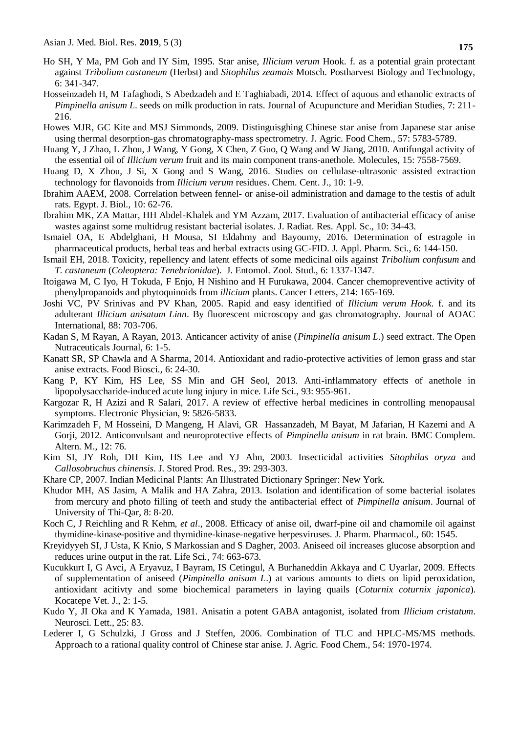- Ho SH, Y Ma, PM Goh and IY Sim, 1995. Star anise, *Illicium verum* Hook. f. as a potential grain protectant against *Tribolium castaneum* (Herbst) and *Sitophilus zeamais* Motsch. Postharvest Biology and Technology, 6: 341-347.
- Hosseinzadeh H, M Tafaghodi, S Abedzadeh and E Taghiabadi, 2014. Effect of aquous and ethanolic extracts of *Pimpinella anisum L*. seeds on milk production in rats. Journal of Acupuncture and Meridian Studies, 7: 211- 216.
- Howes MJR, GC Kite and MSJ Simmonds, 2009. Distinguisghing Chinese star anise from Japanese star anise using thermal desorption-gas chromatography-mass spectrometry. J. Agric. Food Chem., 57: 5783-5789.
- Huang Y, J Zhao, L Zhou, J Wang, Y Gong, X Chen, Z Guo, Q Wang and W Jiang, 2010. Antifungal activity of the essential oil of *Illicium verum* fruit and its main component trans-anethole. Molecules, 15: 7558-7569.
- Huang D, X Zhou, J Si, X Gong and S Wang, 2016. Studies on cellulase-ultrasonic assisted extraction technology for flavonoids from *Illicium verum* residues. Chem. Cent. J., 10: 1-9.
- Ibrahim AAEM, 2008. Correlation between fennel- or anise-oil administration and damage to the testis of adult rats. Egypt. J. Biol., 10: 62-76.
- Ibrahim MK, ZA Mattar, HH Abdel-Khalek and YM Azzam, 2017. Evaluation of antibacterial efficacy of anise wastes against some multidrug resistant bacterial isolates. J. Radiat. Res. Appl. Sc., 10: 34-43.
- Ismaiel OA, E Abdelghani, H Mousa, SI Eldahmy and Bayoumy, 2016. Determination of estragole in pharmaceutical products, herbal teas and herbal extracts using GC-FID. J. Appl. Pharm. Sci., 6: 144-150.
- Ismail EH, 2018. Toxicity, repellency and latent effects of some medicinal oils against *Tribolium confusum* and *T. castaneum* (*Coleoptera: Tenebrionidae*). J. Entomol. Zool. Stud., 6: 1337-1347.
- Itoigawa M, C Iyo, H Tokuda, F Enjo, H Nishino and H Furukawa, 2004. Cancer chemopreventive activity of phenylpropanoids and phytoquinoids from *illicium* plants. Cancer Letters, 214: 165-169.
- Joshi VC, PV Srinivas and PV Khan, 2005. Rapid and easy identified of *Illicium verum Hook*. f. and its adulterant *Illicium anisatum Linn*. By fluorescent microscopy and gas chromatography. Journal of AOAC International, 88: 703-706.
- Kadan S, M Rayan, A Rayan, 2013. Anticancer activity of anise (*Pimpinella anisum L*.) seed extract. The Open Nutraceuticals Journal, 6: 1-5.
- Kanatt SR, SP Chawla and A Sharma, 2014. Antioxidant and radio-protective activities of lemon grass and star anise extracts. Food Biosci., 6: 24-30.
- Kang P, KY Kim, HS Lee, SS Min and GH Seol, 2013. Anti-inflammatory effects of anethole in lipopolysaccharide-induced acute lung injury in mice. Life Sci., 93: 955-961.
- Kargozar R, H Azizi and R Salari, 2017. A review of effective herbal medicines in controlling menopausal symptoms. Electronic Physician, 9: 5826-5833.
- Karimzadeh F, M Hosseini, D Mangeng, H Alavi, GR Hassanzadeh, M Bayat, M Jafarian, H Kazemi and A Gorji, 2012. Anticonvulsant and neuroprotective effects of *Pimpinella anisum* in rat brain. BMC Complem. Altern. M., 12: 76.
- Kim SI, JY Roh, DH Kim, HS Lee and YJ Ahn, 2003. Insecticidal activities *Sitophilus oryza* and *Callosobruchus chinensis*. J. Stored Prod. Res., 39: 293-303.
- Khare CP, 2007. Indian Medicinal Plants: An Illustrated Dictionary Springer: New York.
- Khudor MH, AS Jasim, A Malik and HA Zahra, 2013. Isolation and identification of some bacterial isolates from mercury and photo filling of teeth and study the antibacterial effect of *Pimpinella anisum*. Journal of University of Thi-Qar, 8: 8-20.
- Koch C, J Reichling and R Kehm, *et al*., 2008. Efficacy of anise oil, dwarf-pine oil and chamomile oil against thymidine-kinase-positive and thymidine-kinase-negative herpesviruses. J. Pharm. Pharmacol., 60: 1545.
- Kreyidyyeh SI, J Usta, K Knio, S Markossian and S Dagher, 2003. Aniseed oil increases glucose absorption and reduces urine output in the rat. Life Sci., 74: 663-673.
- Kucukkurt I, G Avci, A Eryavuz, I Bayram, IS Cetingul, A Burhaneddin Akkaya and C Uyarlar, 2009. Effects of supplementation of aniseed (*Pimpinella anisum L*.) at various amounts to diets on lipid peroxidation, antioxidant acitivty and some biochemical parameters in laying quails (*Coturnix coturnix japonica*). Kocatepe Vet. J., 2: 1-5.
- Kudo Y, JI Oka and K Yamada, 1981. Anisatin a potent GABA antagonist, isolated from *Illicium cristatum*. Neurosci. Lett., 25: 83.
- Lederer I, G Schulzki, J Gross and J Steffen, 2006. Combination of TLC and HPLC-MS/MS methods. Approach to a rational quality control of Chinese star anise. J. Agric. Food Chem., 54: 1970-1974.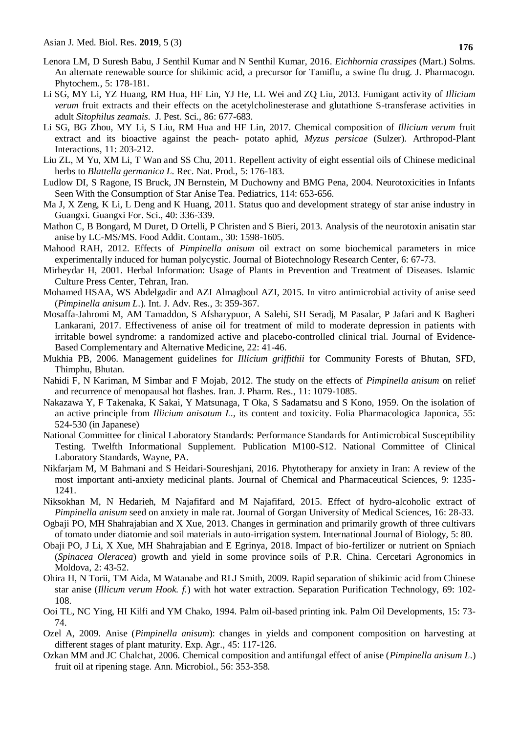- Lenora LM, D Suresh Babu, J Senthil Kumar and N Senthil Kumar, 2016. *Eichhornia crassipes* (Mart.) Solms. An alternate renewable source for shikimic acid, a precursor for Tamiflu, a swine flu drug. J. Pharmacogn. Phytochem., 5: 178-181.
- Li SG, MY Li, YZ Huang, RM Hua, HF Lin, YJ He, LL Wei and ZQ Liu, 2013. Fumigant activity of *Illicium verum* fruit extracts and their effects on the acetylcholinesterase and glutathione S-transferase activities in adult *Sitophilus zeamais*. J. Pest. Sci., 86: 677-683.
- Li SG, BG Zhou, MY Li, S Liu, RM Hua and HF Lin, 2017. Chemical composition of *Illicium verum* fruit extract and its bioactive against the peach- potato aphid, *Myzus persicae* (Sulzer). Arthropod-Plant Interactions, 11: 203-212.
- Liu ZL, M Yu, XM Li, T Wan and SS Chu, 2011. Repellent activity of eight essential oils of Chinese medicinal herbs to *Blattella germanica L*. Rec. Nat. Prod., 5: 176-183.
- Ludlow DI, S Ragone, IS Bruck, JN Bernstein, M Duchowny and BMG Pena, 2004. Neurotoxicities in Infants Seen With the Consumption of Star Anise Tea. Pediatrics, 114: 653-656.
- Ma J, X Zeng, K Li, L Deng and K Huang, 2011. Status quo and development strategy of star anise industry in Guangxi. Guangxi For. Sci., 40: 336-339.
- Mathon C, B Bongard, M Duret, D Ortelli, P Christen and S Bieri, 2013. Analysis of the neurotoxin anisatin star anise by LC-MS/MS. Food Addit. Contam., 30: 1598-1605.
- Mahood RAH, 2012. Effects of *Pimpinella anisum* oil extract on some biochemical parameters in mice experimentally induced for human polycystic. Journal of Biotechnology Research Center, 6: 67-73.
- Mirheydar H, 2001. Herbal Information: Usage of Plants in Prevention and Treatment of Diseases. Islamic Culture Press Center, Tehran, Iran.
- Mohamed HSAA, WS Abdelgadir and AZI Almagboul AZI, 2015. In vitro antimicrobial activity of anise seed (*Pimpinella anisum L*.). Int. J. Adv. Res., 3: 359-367.
- Mosaffa-Jahromi M, AM Tamaddon, S Afsharypuor, A Salehi, SH Seradj, M Pasalar, P Jafari and K Bagheri Lankarani, 2017. Effectiveness of anise oil for treatment of mild to moderate depression in patients with irritable bowel syndrome: a randomized active and placebo-controlled clinical trial. Journal of Evidence-Based Complementary and Alternative Medicine, 22: 41-46.
- Mukhia PB, 2006. Management guidelines for *Illicium griffithii* for Community Forests of Bhutan, SFD, Thimphu, Bhutan.
- Nahidi F, N Kariman, M Simbar and F Mojab, 2012. The study on the effects of *Pimpinella anisum* on relief and recurrence of menopausal hot flashes. Iran. J. Pharm. Res., 11: 1079-1085.
- Nakazawa Y, F Takenaka, K Sakai, Y Matsunaga, T Oka, S Sadamatsu and S Kono, 1959. On the isolation of an active principle from *Illicium anisatum L*., its content and toxicity. Folia Pharmacologica Japonica, 55: 524-530 (in Japanese)
- National Committee for clinical Laboratory Standards: Performance Standards for Antimicrobical Susceptibility Testing. Twelfth Informational Supplement. Publication M100-S12. National Committee of Clinical Laboratory Standards, Wayne, PA.
- Nikfarjam M, M Bahmani and S Heidari-Soureshjani, 2016. Phytotherapy for anxiety in Iran: A review of the most important anti-anxiety medicinal plants. Journal of Chemical and Pharmaceutical Sciences, 9: 1235- 1241.
- Niksokhan M, N Hedarieh, M Najafifard and M Najafifard, 2015. Effect of hydro-alcoholic extract of *Pimpinella anisum* seed on anxiety in male rat. Journal of Gorgan University of Medical Sciences, 16: 28-33.
- Ogbaji PO, MH Shahrajabian and X Xue, 2013. Changes in germination and primarily growth of three cultivars of tomato under diatomie and soil materials in auto-irrigation system. International Journal of Biology, 5: 80.
- Obaji PO, J Li, X Xue, MH Shahrajabian and E Egrinya, 2018. Impact of bio-fertilizer or nutrient on Spniach (*Spinacea Oleracea*) growth and yield in some province soils of P.R. China. Cercetari Agronomics in Moldova, 2: 43-52.
- Ohira H, N Torii, TM Aida, M Watanabe and RLJ Smith, 2009. Rapid separation of shikimic acid from Chinese star anise (*Illicum verum Hook. f.*) with hot water extraction. Separation Purification Technology, 69: 102- 108.
- Ooi TL, NC Ying, HI Kilfi and YM Chako, 1994. Palm oil-based printing ink. Palm Oil Developments, 15: 73- 74.
- Ozel A, 2009. Anise (*Pimpinella anisum*): changes in yields and component composition on harvesting at different stages of plant maturity. Exp. Agr., 45: 117-126.
- Ozkan MM and JC Chalchat, 2006. Chemical composition and antifungal effect of anise (*Pimpinella anisum L*.) fruit oil at ripening stage. Ann. Microbiol., 56: 353-358.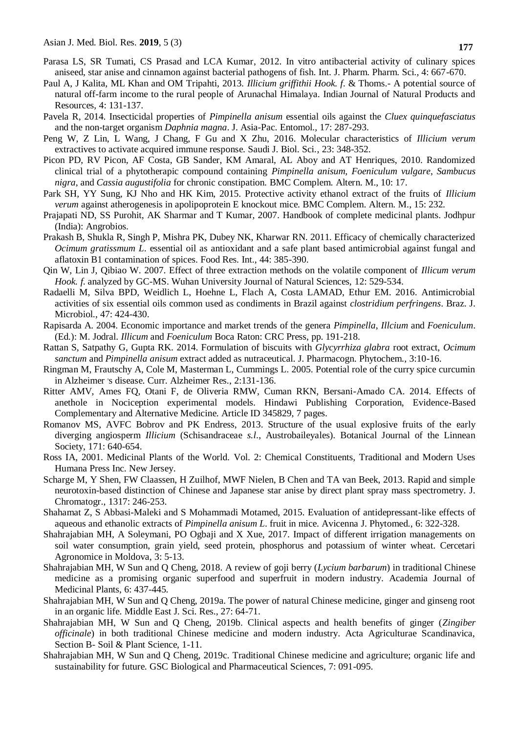- Parasa LS, SR Tumati, CS Prasad and LCA Kumar, 2012. In vitro antibacterial activity of culinary spices aniseed, star anise and cinnamon against bacterial pathogens of fish. Int. J. Pharm. Pharm. Sci., 4: 667-670.
- Paul A, J Kalita, ML Khan and OM Tripahti, 2013. *Illicium griffithii Hook. f*. & Thoms.- A potential source of natural off-farm income to the rural people of Arunachal Himalaya. Indian Journal of Natural Products and Resources, 4: 131-137.
- Pavela R, 2014. Insecticidal properties of *Pimpinella anisum* essential oils against the *Cluex quinquefasciatus* and the non-target organism *Daphnia magna*. J. Asia-Pac. Entomol., 17: 287-293.
- Peng W, Z Lin, L Wang, J Chang, F Gu and X Zhu, 2016. Molecular characteristics of *Illicium verum* extractives to activate acquired immune response. Saudi J. Biol. Sci., 23: 348-352.
- Picon PD, RV Picon, AF Costa, GB Sander, KM Amaral, AL Aboy and AT Henriques, 2010. Randomized clinical trial of a phytotherapic compound containing *Pimpinella anisum*, *Foeniculum vulgare*, *Sambucus nigra*, and *Cassia augustifolia* for chronic constipation. BMC Complem. Altern. M., 10: 17.
- Park SH, YY Sung, KJ Nho and HK Kim, 2015. Protective activity ethanol extract of the fruits of *Illicium verum* against atherogenesis in apolipoprotein E knockout mice. BMC Complem. Altern. M., 15: 232.
- Prajapati ND, SS Purohit, AK Sharmar and T Kumar, 2007. Handbook of complete medicinal plants. Jodhpur (India): Angrobios.
- Prakash B, Shukla R, Singh P, Mishra PK, Dubey NK, Kharwar RN. 2011. Efficacy of chemically characterized *Ocimum gratissmum L*. essential oil as antioxidant and a safe plant based antimicrobial against fungal and aflatoxin B1 contamination of spices. Food Res. Int., 44: 385-390.
- Qin W, Lin J, Qibiao W. 2007. Effect of three extraction methods on the volatile component of *Illicum verum Hook. f*. analyzed by GC-MS. Wuhan University Journal of Natural Sciences, 12: 529-534.
- Radaelli M, Silva BPD, Weidlich L, Hoehne L, Flach A, Costa LAMAD, Ethur EM. 2016. Antimicrobial activities of six essential oils common used as condiments in Brazil against *clostridium perfringens*. Braz. J. Microbiol., 47: 424-430.
- Rapisarda A. 2004. Economic importance and market trends of the genera *Pimpinella*, *Illcium* and *Foeniculum*. (Ed.): M. Jodral. *Illicum* and *Foeniculum* Boca Raton: CRC Press, pp. 191-218.
- Rattan S, Satpathy G, Gupta RK. 2014. Formulation of biscuits with *Glycyrrhiza glabra* root extract, *Ocimum sanctum* and *Pimpinella anisum* extract added as nutraceutical. J. Pharmacogn. Phytochem., 3:10-16.
- Ringman M, Frautschy A, Cole M, Masterman L, Cummings L. 2005. Potential role of the curry spice curcumin in Alzheimer 's disease. Curr. Alzheimer Res., 2:131-136.
- Ritter AMV, Ames FQ, Otani F, de Oliveria RMW, Cuman RKN, Bersani-Amado CA. 2014. Effects of anethole in Nociception experimental models. Hindawi Publishing Corporation, Evidence-Based Complementary and Alternative Medicine. Article ID 345829, 7 pages.
- Romanov MS, AVFC Bobrov and PK Endress, 2013. Structure of the usual explosive fruits of the early diverging angiosperm *Illicium* (Schisandraceae *s.l*., Austrobaileyales). Botanical Journal of the Linnean Society, 171: 640-654.
- Ross IA, 2001. Medicinal Plants of the World. Vol. 2: Chemical Constituents, Traditional and Modern Uses Humana Press Inc. New Jersey.
- Scharge M, Y Shen, FW Claassen, H Zuilhof, MWF Nielen, B Chen and TA van Beek, 2013. Rapid and simple neurotoxin-based distinction of Chinese and Japanese star anise by direct plant spray mass spectrometry. J. Chromatogr., 1317: 246-253.
- Shahamat Z, S Abbasi-Maleki and S Mohammadi Motamed, 2015. Evaluation of antidepressant-like effects of aqueous and ethanolic extracts of *Pimpinella anisum L*. fruit in mice. Avicenna J. Phytomed., 6: 322-328.
- Shahrajabian MH, A Soleymani, PO Ogbaji and X Xue, 2017. Impact of different irrigation managements on soil water consumption, grain yield, seed protein, phosphorus and potassium of winter wheat. Cercetari Agronomice in Moldova, 3: 5-13.
- Shahrajabian MH, W Sun and Q Cheng, 2018. A review of goji berry (*Lycium barbarum*) in traditional Chinese medicine as a promising organic superfood and superfruit in modern industry. Academia Journal of Medicinal Plants, 6: 437-445.
- Shahrajabian MH, W Sun and Q Cheng, 2019a. The power of natural Chinese medicine, ginger and ginseng root in an organic life. Middle East J. Sci. Res., 27: 64-71.
- Shahrajabian MH, W Sun and Q Cheng, 2019b. Clinical aspects and health benefits of ginger (*Zingiber officinale*) in both traditional Chinese medicine and modern industry. Acta Agriculturae Scandinavica, Section B- Soil & Plant Science, 1-11.
- Shahrajabian MH, W Sun and Q Cheng, 2019c. Traditional Chinese medicine and agriculture; organic life and sustainability for future. GSC Biological and Pharmaceutical Sciences, 7: 091-095.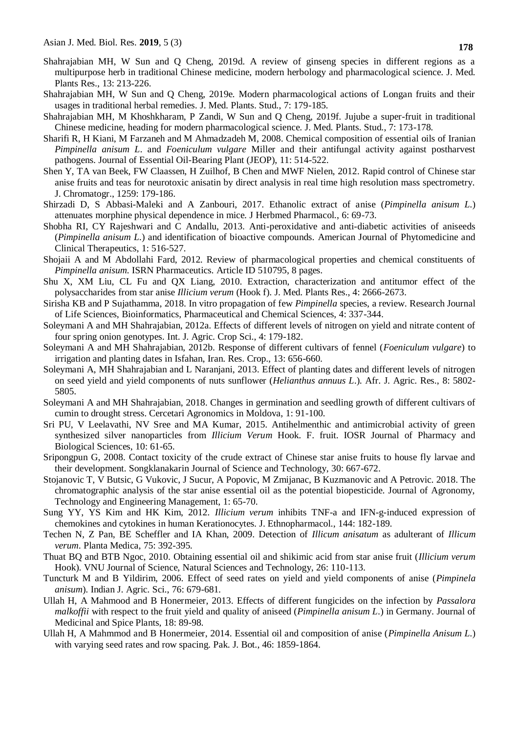- Shahrajabian MH, W Sun and Q Cheng, 2019d. A review of ginseng species in different regions as a multipurpose herb in traditional Chinese medicine, modern herbology and pharmacological science. J. Med. Plants Res., 13: 213-226.
- Shahrajabian MH, W Sun and Q Cheng, 2019e. Modern pharmacological actions of Longan fruits and their usages in traditional herbal remedies. J. Med. Plants. Stud., 7: 179-185.
- Shahrajabian MH, M Khoshkharam, P Zandi, W Sun and Q Cheng, 2019f. Jujube a super-fruit in traditional Chinese medicine, heading for modern pharmacological science. J. Med. Plants. Stud., 7: 173-178.
- Sharifi R, H Kiani, M Farzaneh and M Ahmadzadeh M, 2008. Chemical composition of essential oils of Iranian *Pimpinella anisum L*. and *Foeniculum vulgare* Miller and their antifungal activity against postharvest pathogens. Journal of Essential Oil-Bearing Plant (JEOP), 11: 514-522.
- Shen Y, TA van Beek, FW Claassen, H Zuilhof, B Chen and MWF Nielen, 2012. Rapid control of Chinese star anise fruits and teas for neurotoxic anisatin by direct analysis in real time high resolution mass spectrometry. J. Chromatogr., 1259: 179-186.
- Shirzadi D, S Abbasi-Maleki and A Zanbouri, 2017. Ethanolic extract of anise (*Pimpinella anisum L*.) attenuates morphine physical dependence in mice. J Herbmed Pharmacol., 6: 69-73.
- Shobha RI, CY Rajeshwari and C Andallu, 2013. Anti-peroxidative and anti-diabetic activities of aniseeds (*Pimpinella anisum L*.) and identification of bioactive compounds. American Journal of Phytomedicine and Clinical Therapeutics, 1: 516-527.
- Shojaii A and M Abdollahi Fard, 2012. Review of pharmacological properties and chemical constituents of *Pimpinella anisum*. ISRN Pharmaceutics. Article ID 510795, 8 pages.
- Shu X, XM Liu, CL Fu and QX Liang, 2010. Extraction, characterization and antitumor effect of the polysaccharides from star anise *Illicium verum* (Hook f). J. Med. Plants Res., 4: 2666-2673.
- Sirisha KB and P Sujathamma, 2018. In vitro propagation of few *Pimpinella* species, a review. Research Journal of Life Sciences, Bioinformatics, Pharmaceutical and Chemical Sciences, 4: 337-344.
- Soleymani A and MH Shahrajabian, 2012a. Effects of different levels of nitrogen on yield and nitrate content of four spring onion genotypes. Int. J. Agric. Crop Sci., 4: 179-182.
- Soleymani A and MH Shahrajabian, 2012b. Response of different cultivars of fennel (*Foeniculum vulgare*) to irrigation and planting dates in Isfahan, Iran. Res. Crop., 13: 656-660.
- Soleymani A, MH Shahrajabian and L Naranjani, 2013. Effect of planting dates and different levels of nitrogen on seed yield and yield components of nuts sunflower (*Helianthus annuus L*.). Afr. J. Agric. Res., 8: 5802- 5805.
- Soleymani A and MH Shahrajabian, 2018. Changes in germination and seedling growth of different cultivars of cumin to drought stress. Cercetari Agronomics in Moldova, 1: 91-100.
- Sri PU, V Leelavathi, NV Sree and MA Kumar, 2015. Antihelmenthic and antimicrobial activity of green synthesized silver nanoparticles from *Illicium Verum* Hook. F. fruit. IOSR Journal of Pharmacy and Biological Sciences, 10: 61-65.
- Sripongpun G, 2008. Contact toxicity of the crude extract of Chinese star anise fruits to house fly larvae and their development. Songklanakarin Journal of Science and Technology, 30: 667-672.
- Stojanovic T, V Butsic, G Vukovic, J Sucur, A Popovic, M Zmijanac, B Kuzmanovic and A Petrovic. 2018. The chromatographic analysis of the star anise essential oil as the potential biopesticide. Journal of Agronomy, Technology and Engineering Management, 1: 65-70.
- Sung YY, YS Kim and HK Kim, 2012. *Illicium verum* inhibits TNF-a and IFN-g-induced expression of chemokines and cytokines in human Kerationocytes. J. Ethnopharmacol., 144: 182-189.
- Techen N, Z Pan, BE Scheffler and IA Khan, 2009. Detection of *Illicum anisatum* as adulterant of *Illicum verum*. Planta Medica, 75: 392-395.
- Thuat BQ and BTB Ngoc, 2010. Obtaining essential oil and shikimic acid from star anise fruit (*Illicium verum* Hook). VNU Journal of Science, Natural Sciences and Technology, 26: 110-113.
- Tuncturk M and B Yildirim, 2006. Effect of seed rates on yield and yield components of anise (*Pimpinela anisum*). Indian J. Agric. Sci., 76: 679-681.
- Ullah H, A Mahmood and B Honermeier, 2013. Effects of different fungicides on the infection by *Passalora malkoffii* with respect to the fruit yield and quality of aniseed (*Pimpinella anisum L*.) in Germany. Journal of Medicinal and Spice Plants, 18: 89-98.
- Ullah H, A Mahmmod and B Honermeier, 2014. Essential oil and composition of anise (*Pimpinella Anisum L*.) with varying seed rates and row spacing. Pak. J. Bot., 46: 1859-1864.